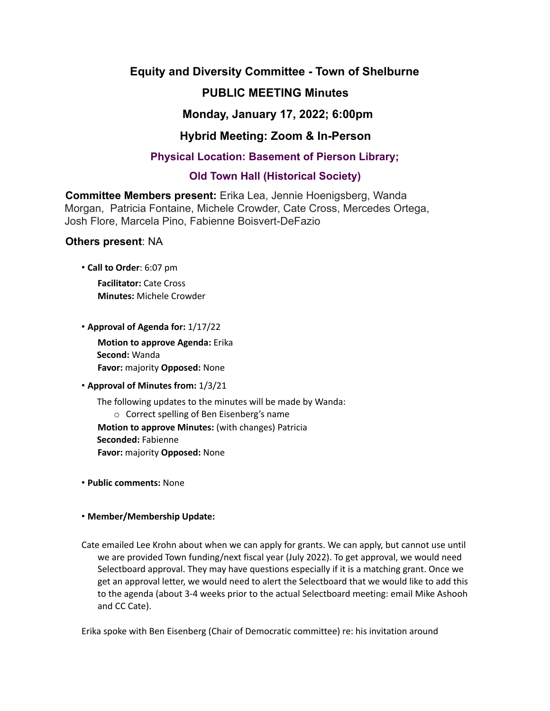## **Equity and Diversity Committee - Town of Shelburne**

# **PUBLIC MEETING Minutes**

## **Monday, January 17, 2022; 6:00pm**

# **Hybrid Meeting: Zoom & In-Person**

## **Physical Location: Basement of Pierson Library;**

## **Old Town Hall (Historical Society)**

**Committee Members present:** Erika Lea, Jennie Hoenigsberg, Wanda Morgan, Patricia Fontaine, Michele Crowder, Cate Cross, Mercedes Ortega, Josh Flore, Marcela Pino, Fabienne Boisvert-DeFazio

### **Others present**: NA

• **Call to Order**: 6:07 pm

**Facilitator:** Cate Cross **Minutes:** Michele Crowder

• **Approval of Agenda for:** 1/17/22

**Motion to approve Agenda:** Erika **Second:** Wanda **Favor:** majority **Opposed:** None

### • **Approval of Minutes from:** 1/3/21

The following updates to the minutes will be made by Wanda: o Correct spelling of Ben Eisenberg's name **Motion to approve Minutes:** (with changes) Patricia **Seconded:** Fabienne **Favor:** majority **Opposed:** None

• **Public comments:** None

### • **Member/Membership Update:**

Cate emailed Lee Krohn about when we can apply for grants. We can apply, but cannot use until we are provided Town funding/next fiscal year (July 2022). To get approval, we would need Selectboard approval. They may have questions especially if it is a matching grant. Once we get an approval letter, we would need to alert the Selectboard that we would like to add this to the agenda (about 3-4 weeks prior to the actual Selectboard meeting: email Mike Ashooh and CC Cate).

Erika spoke with Ben Eisenberg (Chair of Democratic committee) re: his invitation around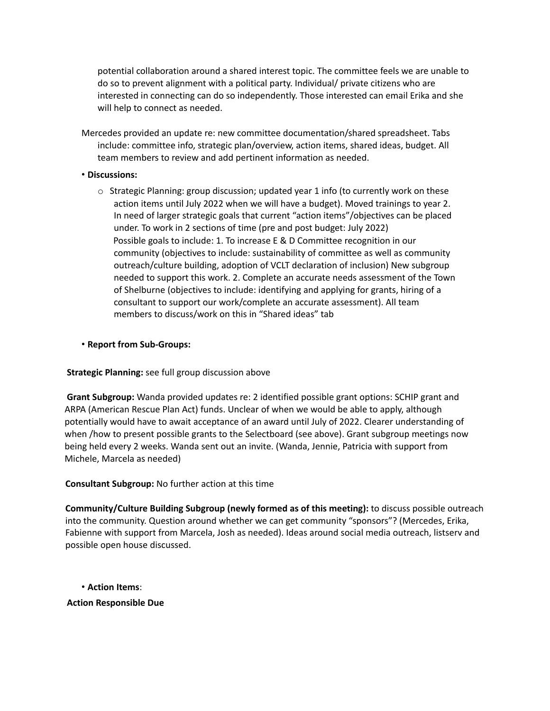potential collaboration around a shared interest topic. The committee feels we are unable to do so to prevent alignment with a political party. Individual/ private citizens who are interested in connecting can do so independently. Those interested can email Erika and she will help to connect as needed.

Mercedes provided an update re: new committee documentation/shared spreadsheet. Tabs include: committee info, strategic plan/overview, action items, shared ideas, budget. All team members to review and add pertinent information as needed.

#### • **Discussions:**

 $\circ$  Strategic Planning: group discussion; updated year 1 info (to currently work on these action items until July 2022 when we will have a budget). Moved trainings to year 2. In need of larger strategic goals that current "action items"/objectives can be placed under. To work in 2 sections of time (pre and post budget: July 2022) Possible goals to include: 1. To increase E & D Committee recognition in our community (objectives to include: sustainability of committee as well as community outreach/culture building, adoption of VCLT declaration of inclusion) New subgroup needed to support this work. 2. Complete an accurate needs assessment of the Town of Shelburne (objectives to include: identifying and applying for grants, hiring of a consultant to support our work/complete an accurate assessment). All team members to discuss/work on this in "Shared ideas" tab

#### • **Report from Sub-Groups:**

### **Strategic Planning:** see full group discussion above

**Grant Subgroup:** Wanda provided updates re: 2 identified possible grant options: SCHIP grant and ARPA (American Rescue Plan Act) funds. Unclear of when we would be able to apply, although potentially would have to await acceptance of an award until July of 2022. Clearer understanding of when /how to present possible grants to the Selectboard (see above). Grant subgroup meetings now being held every 2 weeks. Wanda sent out an invite. (Wanda, Jennie, Patricia with support from Michele, Marcela as needed)

**Consultant Subgroup:** No further action at this time

**Community/Culture Building Subgroup (newly formed as of this meeting):** to discuss possible outreach into the community. Question around whether we can get community "sponsors"? (Mercedes, Erika, Fabienne with support from Marcela, Josh as needed). Ideas around social media outreach, listserv and possible open house discussed.

• **Action Items**: **Action Responsible Due**